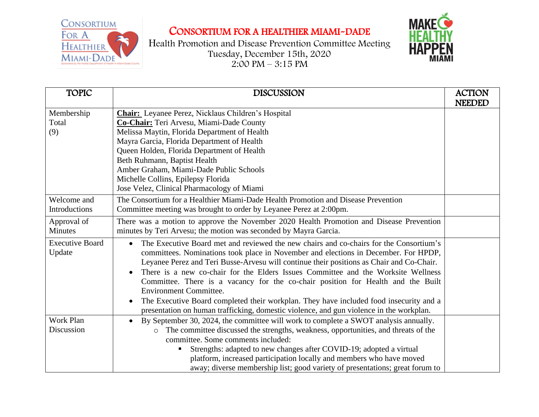

## CONSORTIUM FOR A HEALTHIER MIAMI-DADE

Health Promotion and Disease Prevention Committee Meeting Tuesday, December 15th, 2020  $2:00 \text{ PM} - 3:15 \text{ PM}$ 



| <b>TOPIC</b>                        | <b>DISCUSSION</b>                                                                                                                                                                                                                                                                                                                                                                                                                                                                                                                                                                                                                                                        | <b>ACTION</b><br><b>NEEDED</b> |
|-------------------------------------|--------------------------------------------------------------------------------------------------------------------------------------------------------------------------------------------------------------------------------------------------------------------------------------------------------------------------------------------------------------------------------------------------------------------------------------------------------------------------------------------------------------------------------------------------------------------------------------------------------------------------------------------------------------------------|--------------------------------|
| Membership<br>Total<br>(9)          | <b>Chair:</b> Leyanee Perez, Nicklaus Children's Hospital<br>Co-Chair: Teri Arvesu, Miami-Dade County<br>Melissa Maytin, Florida Department of Health<br>Mayra Garcia, Florida Department of Health<br>Queen Holden, Florida Department of Health<br>Beth Ruhmann, Baptist Health<br>Amber Graham, Miami-Dade Public Schools<br>Michelle Collins, Epilepsy Florida<br>Jose Velez, Clinical Pharmacology of Miami                                                                                                                                                                                                                                                         |                                |
| Welcome and<br><b>Introductions</b> | The Consortium for a Healthier Miami-Dade Health Promotion and Disease Prevention<br>Committee meeting was brought to order by Leyanee Perez at 2:00pm.                                                                                                                                                                                                                                                                                                                                                                                                                                                                                                                  |                                |
| Approval of<br>Minutes              | There was a motion to approve the November 2020 Health Promotion and Disease Prevention<br>minutes by Teri Arvesu; the motion was seconded by Mayra Garcia.                                                                                                                                                                                                                                                                                                                                                                                                                                                                                                              |                                |
| <b>Executive Board</b><br>Update    | The Executive Board met and reviewed the new chairs and co-chairs for the Consortium's<br>committees. Nominations took place in November and elections in December. For HPDP,<br>Leyanee Perez and Teri Busse-Arvesu will continue their positions as Chair and Co-Chair.<br>There is a new co-chair for the Elders Issues Committee and the Worksite Wellness<br>Committee. There is a vacancy for the co-chair position for Health and the Built<br><b>Environment Committee.</b><br>The Executive Board completed their workplan. They have included food insecurity and a<br>presentation on human trafficking, domestic violence, and gun violence in the workplan. |                                |
| <b>Work Plan</b><br>Discussion      | By September 30, 2024, the committee will work to complete a SWOT analysis annually.<br>The committee discussed the strengths, weakness, opportunities, and threats of the<br>$\circ$<br>committee. Some comments included:<br>Strengths: adapted to new changes after COVID-19; adopted a virtual<br>platform, increased participation locally and members who have moved<br>away; diverse membership list; good variety of presentations; great forum to                                                                                                                                                                                                               |                                |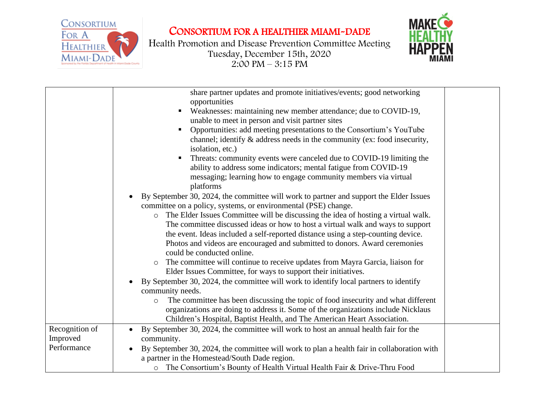

## CONSORTIUM FOR A HEALTHIER MIAMI-DADE

Health Promotion and Disease Prevention Committee Meeting Tuesday, December 15th, 2020  $2:00 \text{ PM} - 3:15 \text{ PM}$ 



| share partner updates and promote initiatives/events; good networking<br>opportunities<br>Weaknesses: maintaining new member attendance; due to COVID-19,<br>unable to meet in person and visit partner sites                                                                                                                                                                                                                                                                                                                                                                                                                                                                                                                                                                                                                                                                                                                                                                                                                                                                                                                                                                                                                                                                                                                                                                                                                                                                      |
|------------------------------------------------------------------------------------------------------------------------------------------------------------------------------------------------------------------------------------------------------------------------------------------------------------------------------------------------------------------------------------------------------------------------------------------------------------------------------------------------------------------------------------------------------------------------------------------------------------------------------------------------------------------------------------------------------------------------------------------------------------------------------------------------------------------------------------------------------------------------------------------------------------------------------------------------------------------------------------------------------------------------------------------------------------------------------------------------------------------------------------------------------------------------------------------------------------------------------------------------------------------------------------------------------------------------------------------------------------------------------------------------------------------------------------------------------------------------------------|
| Opportunities: add meeting presentations to the Consortium's YouTube<br>channel; identify & address needs in the community (ex: food insecurity,<br>isolation, etc.)<br>Threats: community events were canceled due to COVID-19 limiting the<br>ability to address some indicators; mental fatigue from COVID-19<br>messaging; learning how to engage community members via virtual<br>platforms<br>By September 30, 2024, the committee will work to partner and support the Elder Issues<br>committee on a policy, systems, or environmental (PSE) change.<br>The Elder Issues Committee will be discussing the idea of hosting a virtual walk.<br>$\circ$<br>The committee discussed ideas or how to host a virtual walk and ways to support<br>the event. Ideas included a self-reported distance using a step-counting device.<br>Photos and videos are encouraged and submitted to donors. Award ceremonies<br>could be conducted online.<br>o The committee will continue to receive updates from Mayra Garcia, liaison for<br>Elder Issues Committee, for ways to support their initiatives.<br>By September 30, 2024, the committee will work to identify local partners to identify<br>community needs.<br>The committee has been discussing the topic of food insecurity and what different<br>$\circ$<br>organizations are doing to address it. Some of the organizations include Nicklaus<br>Children's Hospital, Baptist Health, and The American Heart Association. |
| Recognition of<br>By September 30, 2024, the committee will work to host an annual health fair for the                                                                                                                                                                                                                                                                                                                                                                                                                                                                                                                                                                                                                                                                                                                                                                                                                                                                                                                                                                                                                                                                                                                                                                                                                                                                                                                                                                             |
| Improved<br>community.                                                                                                                                                                                                                                                                                                                                                                                                                                                                                                                                                                                                                                                                                                                                                                                                                                                                                                                                                                                                                                                                                                                                                                                                                                                                                                                                                                                                                                                             |
| Performance<br>By September 30, 2024, the committee will work to plan a health fair in collaboration with                                                                                                                                                                                                                                                                                                                                                                                                                                                                                                                                                                                                                                                                                                                                                                                                                                                                                                                                                                                                                                                                                                                                                                                                                                                                                                                                                                          |
| a partner in the Homestead/South Dade region.                                                                                                                                                                                                                                                                                                                                                                                                                                                                                                                                                                                                                                                                                                                                                                                                                                                                                                                                                                                                                                                                                                                                                                                                                                                                                                                                                                                                                                      |
| o The Consortium's Bounty of Health Virtual Health Fair & Drive-Thru Food                                                                                                                                                                                                                                                                                                                                                                                                                                                                                                                                                                                                                                                                                                                                                                                                                                                                                                                                                                                                                                                                                                                                                                                                                                                                                                                                                                                                          |